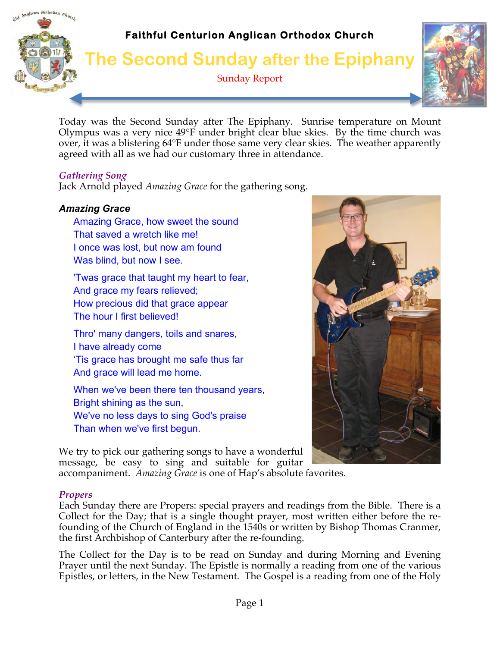# **Faithful Centurion Anglican Orthodox Church**

**The Second Sunday after the Epiphany**

Sunday Report



Today was the Second Sunday after The Epiphany. Sunrise temperature on Mount Olympus was a very nice 49°F under bright clear blue skies. By the time church was over, it was a blistering 64°F under those same very clear skies. The weather apparently agreed with all as we had our customary three in attendance.

## *Gathering Song*

alican Orthodox Chin

Jack Arnold played *Amazing Grace* for the gathering song.

## *Amazing Grace*

Amazing Grace, how sweet the sound That saved a wretch like me! I once was lost, but now am found Was blind, but now I see.

'Twas grace that taught my heart to fear, And grace my fears relieved; How precious did that grace appear The hour I first believed!

Thro' many dangers, toils and snares, I have already come 'Tis grace has brought me safe thus far And grace will lead me home.

When we've been there ten thousand years, Bright shining as the sun, We've no less days to sing God's praise Than when we've first begun.

We try to pick our gathering songs to have a wonderful message, be easy to sing and suitable for guitar

accompaniment. *Amazing Grace* is one of Hap's absolute favorites.

## *Propers*

Each Sunday there are Propers: special prayers and readings from the Bible. There is a Collect for the Day; that is a single thought prayer, most written either before the refounding of the Church of England in the 1540s or written by Bishop Thomas Cranmer, the first Archbishop of Canterbury after the re-founding.

The Collect for the Day is to be read on Sunday and during Morning and Evening Prayer until the next Sunday. The Epistle is normally a reading from one of the various Epistles, or letters, in the New Testament. The Gospel is a reading from one of the Holy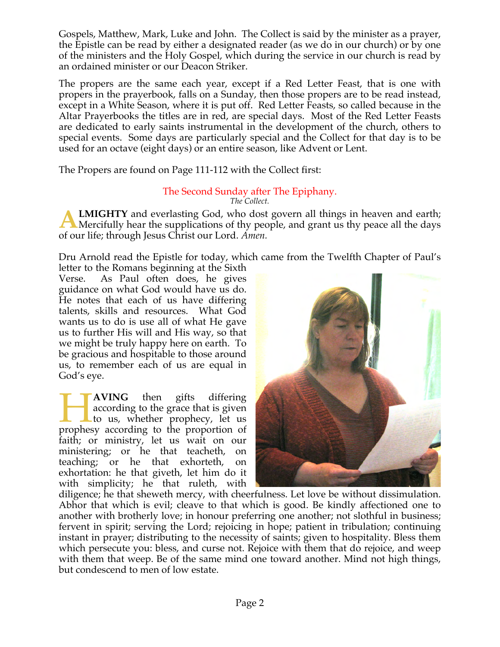Gospels, Matthew, Mark, Luke and John. The Collect is said by the minister as a prayer, the Epistle can be read by either a designated reader (as we do in our church) or by one of the ministers and the Holy Gospel, which during the service in our church is read by an ordained minister or our Deacon Striker.

The propers are the same each year, except if a Red Letter Feast, that is one with propers in the prayerbook, falls on a Sunday, then those propers are to be read instead, except in a White Season, where it is put off. Red Letter Feasts, so called because in the Altar Prayerbooks the titles are in red, are special days. Most of the Red Letter Feasts are dedicated to early saints instrumental in the development of the church, others to special events. Some days are particularly special and the Collect for that day is to be used for an octave (eight days) or an entire season, like Advent or Lent.

The Propers are found on Page 111-112 with the Collect first:

## The Second Sunday after The Epiphany.

*The Collect.*

**LMIGHTY** and everlasting God, who dost govern all things in heaven and earth; **ALMIGHTY** and everlasting God, who dost govern all things in heaven and earth;<br>Mercifully hear the supplications of thy people, and grant us thy peace all the days of our life; through Jesus Christ our Lord. *Amen.*

Dru Arnold read the Epistle for today, which came from the Twelfth Chapter of Paul's

letter to the Romans beginning at the Sixth Verse. As Paul often does, he gives guidance on what God would have us do. He notes that each of us have differing talents, skills and resources. What God wants us to do is use all of what He gave us to further His will and His way, so that we might be truly happy here on earth. To be gracious and hospitable to those around us, to remember each of us are equal in God's eye.

**AVING** then gifts differing according to the grace that is given to us, whether prophecy, let us **PRONUNG** then gifts differing according to the grace that is given to us, whether prophecy, let us prophesy according to the proportion of faith; or ministry, let us wait on our ministering; or he that teacheth, on teaching; or he that exhorteth, on exhortation: he that giveth, let him do it with simplicity; he that ruleth, with



diligence; he that sheweth mercy, with cheerfulness. Let love be without dissimulation. Abhor that which is evil; cleave to that which is good. Be kindly affectioned one to another with brotherly love; in honour preferring one another; not slothful in business; fervent in spirit; serving the Lord; rejoicing in hope; patient in tribulation; continuing instant in prayer; distributing to the necessity of saints; given to hospitality. Bless them which persecute you: bless, and curse not. Rejoice with them that do rejoice, and weep with them that weep. Be of the same mind one toward another. Mind not high things, but condescend to men of low estate.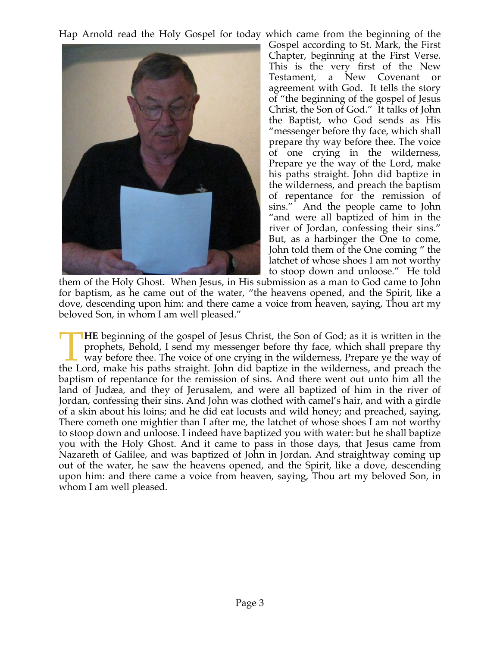Hap Arnold read the Holy Gospel for today which came from the beginning of the



Gospel according to St. Mark, the First Chapter, beginning at the First Verse. This is the very first of the New Testament, a New Covenant or agreement with God. It tells the story of "the beginning of the gospel of Jesus Christ, the Son of God." It talks of John the Baptist, who God sends as His "messenger before thy face, which shall prepare thy way before thee. The voice of one crying in the wilderness, Prepare ye the way of the Lord, make his paths straight. John did baptize in the wilderness, and preach the baptism of repentance for the remission of sins." And the people came to John "and were all baptized of him in the river of Jordan, confessing their sins." But, as a harbinger the One to come, John told them of the One coming " the latchet of whose shoes I am not worthy to stoop down and unloose." He told

them of the Holy Ghost. When Jesus, in His submission as a man to God came to John for baptism, as he came out of the water, "the heavens opened, and the Spirit, like a dove, descending upon him: and there came a voice from heaven, saying, Thou art my beloved Son, in whom I am well pleased."

**HE** beginning of the gospel of Jesus Christ, the Son of God; as it is written in the prophets, Behold, I send my messenger before thy face, which shall prepare thy way before thee. The voice of one crying in the wilderness, Prepare ye the way of **THE** beginning of the gospel of Jesus Christ, the Son of God; as it is written in the prophets, Behold, I send my messenger before thy face, which shall prepare thy way before thee. The voice of one crying in the wilderne baptism of repentance for the remission of sins. And there went out unto him all the land of Judæa, and they of Jerusalem, and were all baptized of him in the river of Jordan, confessing their sins. And John was clothed with camel's hair, and with a girdle of a skin about his loins; and he did eat locusts and wild honey; and preached, saying, There cometh one mightier than I after me, the latchet of whose shoes I am not worthy to stoop down and unloose. I indeed have baptized you with water: but he shall baptize you with the Holy Ghost. And it came to pass in those days, that Jesus came from Nazareth of Galilee, and was baptized of John in Jordan. And straightway coming up out of the water, he saw the heavens opened, and the Spirit, like a dove, descending upon him: and there came a voice from heaven, saying, Thou art my beloved Son, in whom I am well pleased.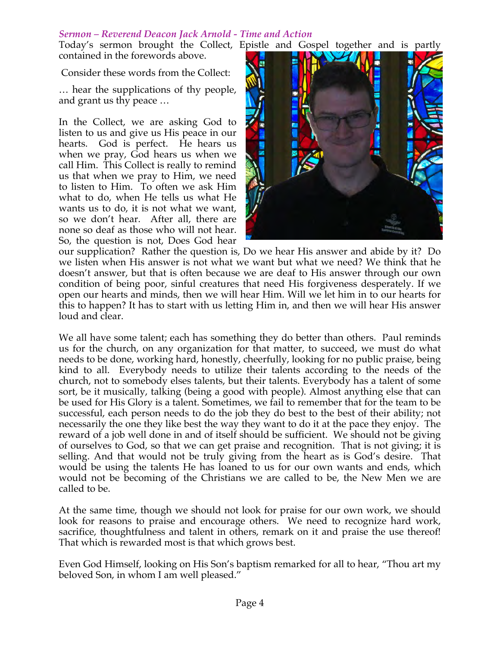### *Sermon – Reverend Deacon Jack Arnold - Time and Action*

Today's sermon brought the Collect, Epistle and Gospel together and is partly

contained in the forewords above.

Consider these words from the Collect:

… hear the supplications of thy people, and grant us thy peace …

In the Collect, we are asking God to listen to us and give us His peace in our hearts. God is perfect. He hears us when we pray, God hears us when we call Him. This Collect is really to remind us that when we pray to Him, we need to listen to Him. To often we ask Him what to do, when He tells us what He wants us to do, it is not what we want, so we don't hear. After all, there are none so deaf as those who will not hear. So, the question is not, Does God hear



our supplication? Rather the question is, Do we hear His answer and abide by it? Do we listen when His answer is not what we want but what we need? We think that he doesn't answer, but that is often because we are deaf to His answer through our own condition of being poor, sinful creatures that need His forgiveness desperately. If we open our hearts and minds, then we will hear Him. Will we let him in to our hearts for this to happen? It has to start with us letting Him in, and then we will hear His answer loud and clear.

We all have some talent; each has something they do better than others. Paul reminds us for the church, on any organization for that matter, to succeed, we must do what needs to be done, working hard, honestly, cheerfully, looking for no public praise, being kind to all. Everybody needs to utilize their talents according to the needs of the church, not to somebody elses talents, but their talents. Everybody has a talent of some sort, be it musically, talking (being a good with people). Almost anything else that can be used for His Glory is a talent. Sometimes, we fail to remember that for the team to be successful, each person needs to do the job they do best to the best of their ability; not necessarily the one they like best the way they want to do it at the pace they enjoy. The reward of a job well done in and of itself should be sufficient. We should not be giving of ourselves to God, so that we can get praise and recognition. That is not giving; it is selling. And that would not be truly giving from the heart as is God's desire. That would be using the talents He has loaned to us for our own wants and ends, which would not be becoming of the Christians we are called to be, the New Men we are called to be.

At the same time, though we should not look for praise for our own work, we should look for reasons to praise and encourage others. We need to recognize hard work, sacrifice, thoughtfulness and talent in others, remark on it and praise the use thereof! That which is rewarded most is that which grows best.

Even God Himself, looking on His Son's baptism remarked for all to hear, "Thou art my beloved Son, in whom I am well pleased."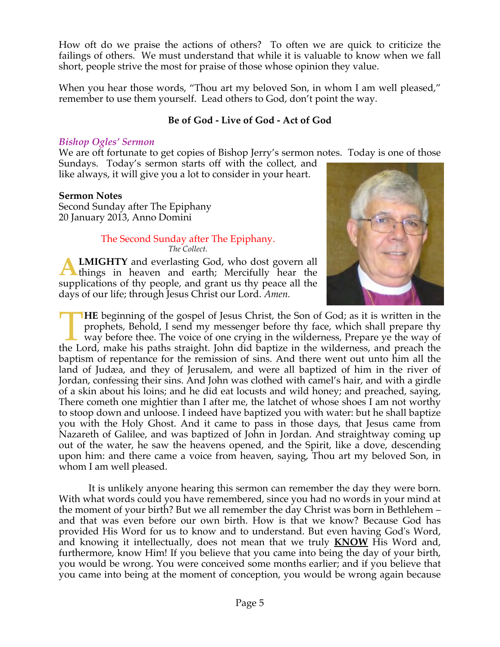How oft do we praise the actions of others? To often we are quick to criticize the failings of others. We must understand that while it is valuable to know when we fall short, people strive the most for praise of those whose opinion they value.

When you hear those words, "Thou art my beloved Son, in whom I am well pleased," remember to use them yourself. Lead others to God, don't point the way.

## **Be of God - Live of God - Act of God**

#### *Bishop Ogles' Sermon*

We are oft fortunate to get copies of Bishop Jerry's sermon notes. Today is one of those Sundays. Today's sermon starts off with the collect, and

like always, it will give you a lot to consider in your heart.

#### **Sermon Notes**

Second Sunday after The Epiphany 20 January 2013, Anno Domini

### The Second Sunday after The Epiphany. *The Collect.*

**LMIGHTY** and everlasting God, who dost govern all things in heaven and earth; Mercifully hear the supplications of thy people, and grant us thy peace all the days of our life; through Jesus Christ our Lord. *Amen.* **A**



**HE** beginning of the gospel of Jesus Christ, the Son of God; as it is written in the prophets, Behold, I send my messenger before thy face, which shall prepare thy way before thee. The voice of one crying in the wilderness, Prepare ye the way of **THE** beginning of the gospel of Jesus Christ, the Son of God; as it is written in the prophets, Behold, I send my messenger before thy face, which shall prepare thy way before thee. The voice of one crying in the wilderne baptism of repentance for the remission of sins. And there went out unto him all the land of Judæa, and they of Jerusalem, and were all baptized of him in the river of Jordan, confessing their sins. And John was clothed with camel's hair, and with a girdle of a skin about his loins; and he did eat locusts and wild honey; and preached, saying, There cometh one mightier than I after me, the latchet of whose shoes I am not worthy to stoop down and unloose. I indeed have baptized you with water: but he shall baptize you with the Holy Ghost. And it came to pass in those days, that Jesus came from Nazareth of Galilee, and was baptized of John in Jordan. And straightway coming up out of the water, he saw the heavens opened, and the Spirit, like a dove, descending upon him: and there came a voice from heaven, saying, Thou art my beloved Son, in whom I am well pleased.

 It is unlikely anyone hearing this sermon can remember the day they were born. With what words could you have remembered, since you had no words in your mind at the moment of your birth? But we all remember the day Christ was born in Bethlehem – and that was even before our own birth. How is that we know? Because God has provided His Word for us to know and to understand. But even having God's Word, and knowing it intellectually, does not mean that we truly **KNOW** His Word and, furthermore, know Him! If you believe that you came into being the day of your birth, you would be wrong. You were conceived some months earlier; and if you believe that you came into being at the moment of conception, you would be wrong again because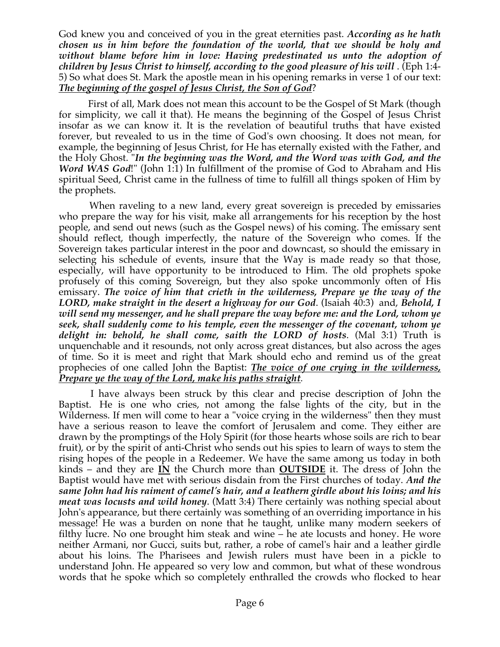God knew you and conceived of you in the great eternities past. *According as he hath chosen us in him before the foundation of the world, that we should be holy and without blame before him in love: Having predestinated us unto the adoption of children by Jesus Christ to himself, according to the good pleasure of his will* . (Eph 1:4- 5) So what does St. Mark the apostle mean in his opening remarks in verse 1 of our text: *The beginning of the gospel of Jesus Christ, the Son of God*?

First of all, Mark does not mean this account to be the Gospel of St Mark (though for simplicity, we call it that). He means the beginning of the Gospel of Jesus Christ insofar as we can know it. It is the revelation of beautiful truths that have existed forever, but revealed to us in the time of God's own choosing. It does not mean, for example, the beginning of Jesus Christ, for He has eternally existed with the Father, and the Holy Ghost. "*In the beginning was the Word, and the Word was with God, and the Word WAS God*!" (John 1:1) In fulfillment of the promise of God to Abraham and His spiritual Seed, Christ came in the fullness of time to fulfill all things spoken of Him by the prophets.

 When raveling to a new land, every great sovereign is preceded by emissaries who prepare the way for his visit, make all arrangements for his reception by the host people, and send out news (such as the Gospel news) of his coming. The emissary sent should reflect, though imperfectly, the nature of the Sovereign who comes. If the Sovereign takes particular interest in the poor and downcast, so should the emissary in selecting his schedule of events, insure that the Way is made ready so that those, especially, will have opportunity to be introduced to Him. The old prophets spoke profusely of this coming Sovereign, but they also spoke uncommonly often of His emissary. *The voice of him that crieth in the wilderness, Prepare ye the way of the LORD, make straight in the desert a highway for our God*. (Isaiah 40:3) and, *Behold, I will send my messenger, and he shall prepare the way before me: and the Lord, whom ye seek, shall suddenly come to his temple, even the messenger of the covenant, whom ye delight in: behold, he shall come, saith the LORD of hosts*. (Mal 3:1) Truth is unquenchable and it resounds, not only across great distances, but also across the ages of time. So it is meet and right that Mark should echo and remind us of the great prophecies of one called John the Baptist: *The voice of one crying in the wilderness, Prepare ye the way of the Lord, make his paths straight.*

 I have always been struck by this clear and precise description of John the Baptist. He is one who cries, not among the false lights of the city, but in the Wilderness. If men will come to hear a "voice crying in the wilderness" then they must have a serious reason to leave the comfort of Jerusalem and come. They either are drawn by the promptings of the Holy Spirit (for those hearts whose soils are rich to bear fruit), or by the spirit of anti-Christ who sends out his spies to learn of ways to stem the rising hopes of the people in a Redeemer. We have the same among us today in both kinds – and they are **IN** the Church more than **OUTSIDE** it. The dress of John the Baptist would have met with serious disdain from the First churches of today. *And the same John had his raiment of camel's hair, and a leathern girdle about his loins; and his meat was locusts and wild honey*. (Matt 3:4) There certainly was nothing special about John's appearance, but there certainly was something of an overriding importance in his message! He was a burden on none that he taught, unlike many modern seekers of filthy lucre. No one brought him steak and wine – he ate locusts and honey. He wore neither Armani, nor Gucci, suits but, rather, a robe of camel's hair and a leather girdle about his loins. The Pharisees and Jewish rulers must have been in a pickle to understand John. He appeared so very low and common, but what of these wondrous words that he spoke which so completely enthralled the crowds who flocked to hear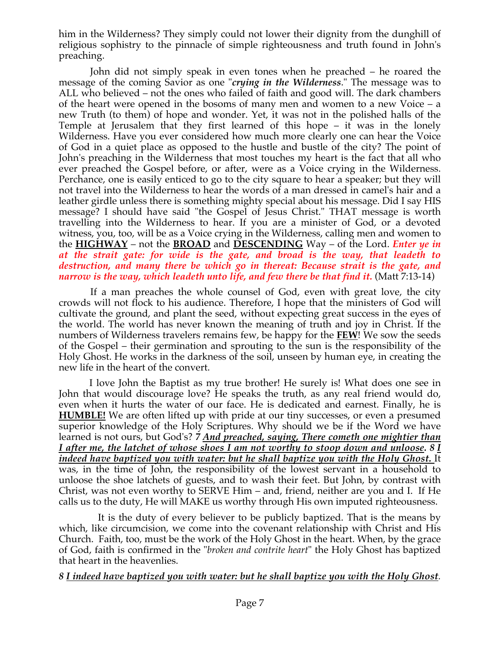him in the Wilderness? They simply could not lower their dignity from the dunghill of religious sophistry to the pinnacle of simple righteousness and truth found in John's preaching.

 John did not simply speak in even tones when he preached – he roared the message of the coming Savior as one "*crying in the Wilderness*." The message was to ALL who believed – not the ones who failed of faith and good will. The dark chambers of the heart were opened in the bosoms of many men and women to a new Voice – a new Truth (to them) of hope and wonder. Yet, it was not in the polished halls of the Temple at Jerusalem that they first learned of this hope – it was in the lonely Wilderness. Have you ever considered how much more clearly one can hear the Voice of God in a quiet place as opposed to the hustle and bustle of the city? The point of John's preaching in the Wilderness that most touches my heart is the fact that all who ever preached the Gospel before, or after, were as a Voice crying in the Wilderness. Perchance, one is easily enticed to go to the city square to hear a speaker; but they will not travel into the Wilderness to hear the words of a man dressed in camel's hair and a leather girdle unless there is something mighty special about his message. Did I say HIS message? I should have said "the Gospel of Jesus Christ." THAT message is worth travelling into the Wilderness to hear. If you are a minister of God, or a devoted witness, you, too, will be as a Voice crying in the Wilderness, calling men and women to the **HIGHWAY** – not the **BROAD** and **DESCENDING** Way – of the Lord. *Enter ye in at the strait gate: for wide is the gate, and broad is the way, that leadeth to destruction, and many there be which go in thereat: Because strait is the gate, and narrow is the way, which leadeth unto life, and few there be that find it.* (Matt 7:13-14)

 If a man preaches the whole counsel of God, even with great love, the city crowds will not flock to his audience. Therefore, I hope that the ministers of God will cultivate the ground, and plant the seed, without expecting great success in the eyes of the world. The world has never known the meaning of truth and joy in Christ. If the numbers of Wilderness travelers remains few, be happy for the **FEW**! We sow the seeds of the Gospel – their germination and sprouting to the sun is the responsibility of the Holy Ghost. He works in the darkness of the soil, unseen by human eye, in creating the new life in the heart of the convert.

 I love John the Baptist as my true brother! He surely is! What does one see in John that would discourage love? He speaks the truth, as any real friend would do, even when it hurts the water of our face. He is dedicated and earnest. Finally, he is **HUMBLE!** We are often lifted up with pride at our tiny successes, or even a presumed superior knowledge of the Holy Scriptures. Why should we be if the Word we have learned is not ours, but God's? *7 And preached, saying, There cometh one mightier than I after me, the latchet of whose shoes I am not worthy to stoop down and unloose. 8 I indeed have baptized you with water: but he shall baptize you with the Holy Ghost.* It was, in the time of John, the responsibility of the lowest servant in a household to unloose the shoe latchets of guests, and to wash their feet. But John, by contrast with Christ, was not even worthy to SERVE Him – and, friend, neither are you and I. If He calls us to the duty, He will MAKE us worthy through His own imputed righteousness.

It is the duty of every believer to be publicly baptized. That is the means by which, like circumcision, we come into the covenant relationship with Christ and His Church. Faith, too, must be the work of the Holy Ghost in the heart. When, by the grace of God, faith is confirmed in the "*broken and contrite heart*" the Holy Ghost has baptized that heart in the heavenlies.

*8 I indeed have baptized you with water: but he shall baptize you with the Holy Ghost.*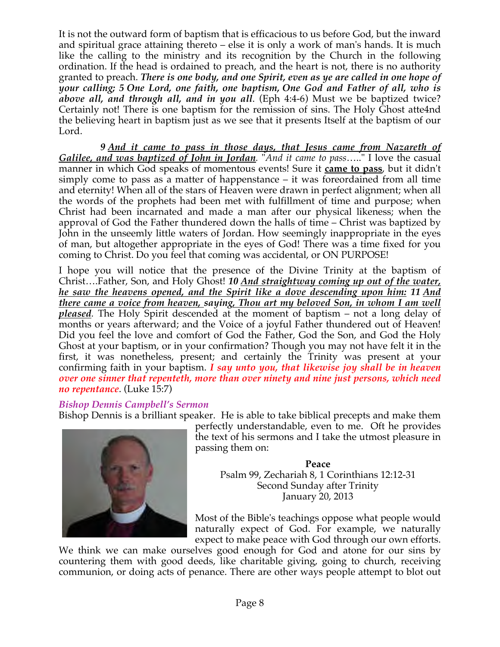It is not the outward form of baptism that is efficacious to us before God, but the inward and spiritual grace attaining thereto – else it is only a work of man's hands. It is much like the calling to the ministry and its recognition by the Church in the following ordination. If the head is ordained to preach, and the heart is not, there is no authority granted to preach. *There is one body, and one Spirit, even as ye are called in one hope of your calling; 5 One Lord, one faith, one baptism, One God and Father of all, who is above all, and through all, and in you all*. (Eph 4:4-6) Must we be baptized twice? Certainly not! There is one baptism for the remission of sins. The Holy Ghost atte4nd the believing heart in baptism just as we see that it presents Itself at the baptism of our Lord.

*9 And it came to pass in those days, that Jesus came from Nazareth of Galilee, and was baptized of John in Jordan.* "*And it came to pass*….." I love the casual manner in which God speaks of momentous events! Sure it **came to pass**, but it didn't simply come to pass as a matter of happenstance – it was foreordained from all time and eternity! When all of the stars of Heaven were drawn in perfect alignment; when all the words of the prophets had been met with fulfillment of time and purpose; when Christ had been incarnated and made a man after our physical likeness; when the approval of God the Father thundered down the halls of time – Christ was baptized by John in the unseemly little waters of Jordan. How seemingly inappropriate in the eyes of man, but altogether appropriate in the eyes of God! There was a time fixed for you coming to Christ. Do you feel that coming was accidental, or ON PURPOSE!

I hope you will notice that the presence of the Divine Trinity at the baptism of Christ….Father, Son, and Holy Ghost! *10 And straightway coming up out of the water, he saw the heavens opened, and the Spirit like a dove descending upon him: 11 And there came a voice from heaven, saying, Thou art my beloved Son, in whom I am well pleased.* The Holy Spirit descended at the moment of baptism – not a long delay of months or years afterward; and the Voice of a joyful Father thundered out of Heaven! Did you feel the love and comfort of God the Father, God the Son, and God the Holy Ghost at your baptism, or in your confirmation? Though you may not have felt it in the first, it was nonetheless, present; and certainly the Trinity was present at your confirming faith in your baptism. *I say unto you, that likewise joy shall be in heaven over one sinner that repenteth, more than over ninety and nine just persons, which need no repentance*. (Luke 15:7)

## *Bishop Dennis Campbell's Sermon*

Bishop Dennis is a brilliant speaker. He is able to take biblical precepts and make them



perfectly understandable, even to me. Oft he provides the text of his sermons and I take the utmost pleasure in passing them on:

**Peace** Psalm 99, Zechariah 8, 1 Corinthians 12:12-31 Second Sunday after Trinity January 20, 2013

Most of the Bible's teachings oppose what people would naturally expect of God. For example, we naturally expect to make peace with God through our own efforts.

We think we can make ourselves good enough for God and atone for our sins by countering them with good deeds, like charitable giving, going to church, receiving communion, or doing acts of penance. There are other ways people attempt to blot out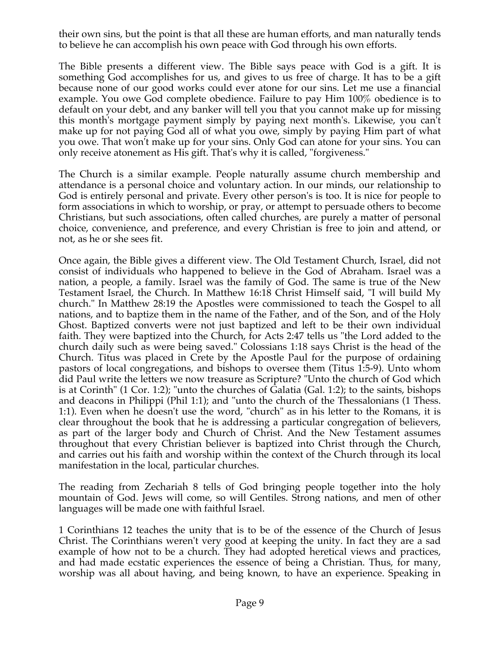their own sins, but the point is that all these are human efforts, and man naturally tends to believe he can accomplish his own peace with God through his own efforts.

The Bible presents a different view. The Bible says peace with God is a gift. It is something God accomplishes for us, and gives to us free of charge. It has to be a gift because none of our good works could ever atone for our sins. Let me use a financial example. You owe God complete obedience. Failure to pay Him 100% obedience is to default on your debt, and any banker will tell you that you cannot make up for missing this month's mortgage payment simply by paying next month's. Likewise, you can't make up for not paying God all of what you owe, simply by paying Him part of what you owe. That won't make up for your sins. Only God can atone for your sins. You can only receive atonement as His gift. That's why it is called, "forgiveness."

The Church is a similar example. People naturally assume church membership and attendance is a personal choice and voluntary action. In our minds, our relationship to God is entirely personal and private. Every other person's is too. It is nice for people to form associations in which to worship, or pray, or attempt to persuade others to become Christians, but such associations, often called churches, are purely a matter of personal choice, convenience, and preference, and every Christian is free to join and attend, or not, as he or she sees fit.

Once again, the Bible gives a different view. The Old Testament Church, Israel, did not consist of individuals who happened to believe in the God of Abraham. Israel was a nation, a people, a family. Israel was the family of God. The same is true of the New Testament Israel, the Church. In Matthew 16:18 Christ Himself said, "I will build My church." In Matthew 28:19 the Apostles were commissioned to teach the Gospel to all nations, and to baptize them in the name of the Father, and of the Son, and of the Holy Ghost. Baptized converts were not just baptized and left to be their own individual faith. They were baptized into the Church, for Acts 2:47 tells us "the Lord added to the church daily such as were being saved." Colossians 1:18 says Christ is the head of the Church. Titus was placed in Crete by the Apostle Paul for the purpose of ordaining pastors of local congregations, and bishops to oversee them (Titus 1:5-9). Unto whom did Paul write the letters we now treasure as Scripture? "Unto the church of God which is at Corinth" (1 Cor. 1:2); "unto the churches of Galatia (Gal. 1:2); to the saints, bishops and deacons in Philippi (Phil 1:1); and "unto the church of the Thessalonians (1 Thess. 1:1). Even when he doesn't use the word, "church" as in his letter to the Romans, it is clear throughout the book that he is addressing a particular congregation of believers, as part of the larger body and Church of Christ. And the New Testament assumes throughout that every Christian believer is baptized into Christ through the Church, and carries out his faith and worship within the context of the Church through its local manifestation in the local, particular churches.

The reading from Zechariah 8 tells of God bringing people together into the holy mountain of God. Jews will come, so will Gentiles. Strong nations, and men of other languages will be made one with faithful Israel.

1 Corinthians 12 teaches the unity that is to be of the essence of the Church of Jesus Christ. The Corinthians weren't very good at keeping the unity. In fact they are a sad example of how not to be a church. They had adopted heretical views and practices, and had made ecstatic experiences the essence of being a Christian. Thus, for many, worship was all about having, and being known, to have an experience. Speaking in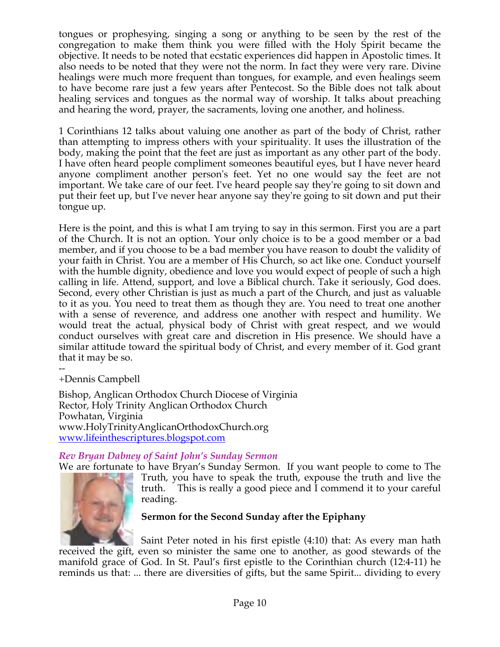tongues or prophesying, singing a song or anything to be seen by the rest of the congregation to make them think you were filled with the Holy Spirit became the objective. It needs to be noted that ecstatic experiences did happen in Apostolic times. It also needs to be noted that they were not the norm. In fact they were very rare. Divine healings were much more frequent than tongues, for example, and even healings seem to have become rare just a few years after Pentecost. So the Bible does not talk about healing services and tongues as the normal way of worship. It talks about preaching and hearing the word, prayer, the sacraments, loving one another, and holiness.

1 Corinthians 12 talks about valuing one another as part of the body of Christ, rather than attempting to impress others with your spirituality. It uses the illustration of the body, making the point that the feet are just as important as any other part of the body. I have often heard people compliment someones beautiful eyes, but I have never heard anyone compliment another person's feet. Yet no one would say the feet are not important. We take care of our feet. I've heard people say they're going to sit down and put their feet up, but I've never hear anyone say they're going to sit down and put their tongue up.

Here is the point, and this is what I am trying to say in this sermon. First you are a part of the Church. It is not an option. Your only choice is to be a good member or a bad member, and if you choose to be a bad member you have reason to doubt the validity of your faith in Christ. You are a member of His Church, so act like one. Conduct yourself with the humble dignity, obedience and love you would expect of people of such a high calling in life. Attend, support, and love a Biblical church. Take it seriously, God does. Second, every other Christian is just as much a part of the Church, and just as valuable to it as you. You need to treat them as though they are. You need to treat one another with a sense of reverence, and address one another with respect and humility. We would treat the actual, physical body of Christ with great respect, and we would conduct ourselves with great care and discretion in His presence. We should have a similar attitude toward the spiritual body of Christ, and every member of it. God grant that it may be so.

-- +Dennis Campbell

Bishop, Anglican Orthodox Church Diocese of Virginia Rector, Holy Trinity Anglican Orthodox Church Powhatan, Virginia www.HolyTrinityAnglicanOrthodoxChurch.org www.lifeinthescriptures.blogspot.com

## *Rev Bryan Dabney of Saint John's Sunday Sermon*

We are fortunate to have Bryan's Sunday Sermon. If you want people to come to The



Truth, you have to speak the truth, expouse the truth and live the truth. This is really a good piece and I commend it to your careful reading.

## **Sermon for the Second Sunday after the Epiphany**

Saint Peter noted in his first epistle (4:10) that: As every man hath received the gift, even so minister the same one to another, as good stewards of the manifold grace of God. In St. Paul's first epistle to the Corinthian church (12:4-11) he reminds us that: ... there are diversities of gifts, but the same Spirit... dividing to every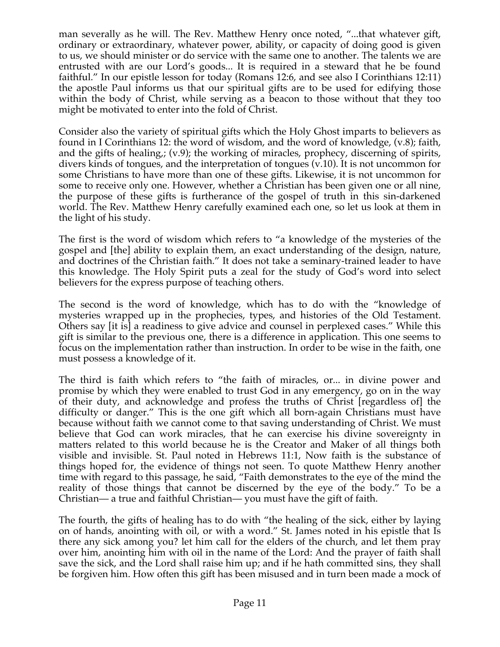man severally as he will. The Rev. Matthew Henry once noted, "...that whatever gift, ordinary or extraordinary, whatever power, ability, or capacity of doing good is given to us, we should minister or do service with the same one to another. The talents we are entrusted with are our Lord's goods... It is required in a steward that he be found faithful." In our epistle lesson for today (Romans 12:6, and see also I Corinthians 12:11) the apostle Paul informs us that our spiritual gifts are to be used for edifying those within the body of Christ, while serving as a beacon to those without that they too might be motivated to enter into the fold of Christ.

Consider also the variety of spiritual gifts which the Holy Ghost imparts to believers as found in I Corinthians 12: the word of wisdom, and the word of knowledge, (v.8); faith, and the gifts of healing,; (v.9); the working of miracles, prophecy, discerning of spirits, divers kinds of tongues, and the interpretation of tongues (v.10). It is not uncommon for some Christians to have more than one of these gifts. Likewise, it is not uncommon for some to receive only one. However, whether a Christian has been given one or all nine, the purpose of these gifts is furtherance of the gospel of truth in this sin-darkened world. The Rev. Matthew Henry carefully examined each one, so let us look at them in the light of his study.

The first is the word of wisdom which refers to "a knowledge of the mysteries of the gospel and [the] ability to explain them, an exact understanding of the design, nature, and doctrines of the Christian faith." It does not take a seminary-trained leader to have this knowledge. The Holy Spirit puts a zeal for the study of God's word into select believers for the express purpose of teaching others.

The second is the word of knowledge, which has to do with the "knowledge of mysteries wrapped up in the prophecies, types, and histories of the Old Testament. Others say [it is] a readiness to give advice and counsel in perplexed cases." While this gift is similar to the previous one, there is a difference in application. This one seems to focus on the implementation rather than instruction. In order to be wise in the faith, one must possess a knowledge of it.

The third is faith which refers to "the faith of miracles, or... in divine power and promise by which they were enabled to trust God in any emergency, go on in the way of their duty, and acknowledge and profess the truths of Christ [regardless of] the difficulty or danger." This is the one gift which all born-again Christians must have because without faith we cannot come to that saving understanding of Christ. We must believe that God can work miracles, that he can exercise his divine sovereignty in matters related to this world because he is the Creator and Maker of all things both visible and invisible. St. Paul noted in Hebrews 11:1, Now faith is the substance of things hoped for, the evidence of things not seen. To quote Matthew Henry another time with regard to this passage, he said, "Faith demonstrates to the eye of the mind the reality of those things that cannot be discerned by the eye of the body." To be a Christian— a true and faithful Christian— you must have the gift of faith.

The fourth, the gifts of healing has to do with "the healing of the sick, either by laying on of hands, anointing with oil, or with a word." St. James noted in his epistle that Is there any sick among you? let him call for the elders of the church, and let them pray over him, anointing him with oil in the name of the Lord: And the prayer of faith shall save the sick, and the Lord shall raise him up; and if he hath committed sins, they shall be forgiven him. How often this gift has been misused and in turn been made a mock of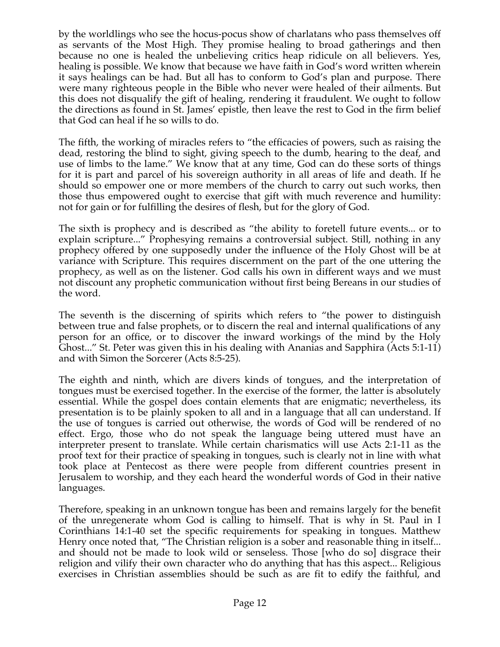by the worldlings who see the hocus-pocus show of charlatans who pass themselves off as servants of the Most High. They promise healing to broad gatherings and then because no one is healed the unbelieving critics heap ridicule on all believers. Yes, healing is possible. We know that because we have faith in God's word written wherein it says healings can be had. But all has to conform to God's plan and purpose. There were many righteous people in the Bible who never were healed of their ailments. But this does not disqualify the gift of healing, rendering it fraudulent. We ought to follow the directions as found in St. James' epistle, then leave the rest to God in the firm belief that God can heal if he so wills to do.

The fifth, the working of miracles refers to "the efficacies of powers, such as raising the dead, restoring the blind to sight, giving speech to the dumb, hearing to the deaf, and use of limbs to the lame." We know that at any time, God can do these sorts of things for it is part and parcel of his sovereign authority in all areas of life and death. If he should so empower one or more members of the church to carry out such works, then those thus empowered ought to exercise that gift with much reverence and humility: not for gain or for fulfilling the desires of flesh, but for the glory of God.

The sixth is prophecy and is described as "the ability to foretell future events... or to explain scripture..." Prophesying remains a controversial subject. Still, nothing in any prophecy offered by one supposedly under the influence of the Holy Ghost will be at variance with Scripture. This requires discernment on the part of the one uttering the prophecy, as well as on the listener. God calls his own in different ways and we must not discount any prophetic communication without first being Bereans in our studies of the word.

The seventh is the discerning of spirits which refers to "the power to distinguish between true and false prophets, or to discern the real and internal qualifications of any person for an office, or to discover the inward workings of the mind by the Holy Ghost..." St. Peter was given this in his dealing with Ananias and Sapphira (Acts 5:1-11) and with Simon the Sorcerer (Acts 8:5-25).

The eighth and ninth, which are divers kinds of tongues, and the interpretation of tongues must be exercised together. In the exercise of the former, the latter is absolutely essential. While the gospel does contain elements that are enigmatic; nevertheless, its presentation is to be plainly spoken to all and in a language that all can understand. If the use of tongues is carried out otherwise, the words of God will be rendered of no effect. Ergo, those who do not speak the language being uttered must have an interpreter present to translate. While certain charismatics will use Acts 2:1-11 as the proof text for their practice of speaking in tongues, such is clearly not in line with what took place at Pentecost as there were people from different countries present in Jerusalem to worship, and they each heard the wonderful words of God in their native languages.

Therefore, speaking in an unknown tongue has been and remains largely for the benefit of the unregenerate whom God is calling to himself. That is why in St. Paul in I Corinthians 14:1-40 set the specific requirements for speaking in tongues. Matthew Henry once noted that, "The Christian religion is a sober and reasonable thing in itself... and should not be made to look wild or senseless. Those [who do so] disgrace their religion and vilify their own character who do anything that has this aspect... Religious exercises in Christian assemblies should be such as are fit to edify the faithful, and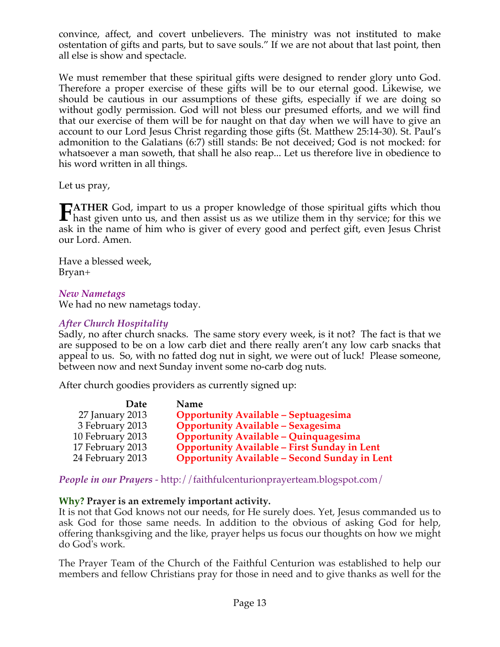convince, affect, and covert unbelievers. The ministry was not instituted to make ostentation of gifts and parts, but to save souls." If we are not about that last point, then all else is show and spectacle.

We must remember that these spiritual gifts were designed to render glory unto God. Therefore a proper exercise of these gifts will be to our eternal good. Likewise, we should be cautious in our assumptions of these gifts, especially if we are doing so without godly permission. God will not bless our presumed efforts, and we will find that our exercise of them will be for naught on that day when we will have to give an account to our Lord Jesus Christ regarding those gifts (St. Matthew 25:14-30). St. Paul's admonition to the Galatians (6:7) still stands: Be not deceived; God is not mocked: for whatsoever a man soweth, that shall he also reap... Let us therefore live in obedience to his word written in all things.

Let us pray,

**ATHER** God, impart to us a proper knowledge of those spiritual gifts which thou **FATHER** God, impart to us a proper knowledge of those spiritual gifts which thou hast given unto us, and then assist us as we utilize them in thy service; for this we ask in the name of him who is giver of every good and perfect gift, even Jesus Christ our Lord. Amen.

Have a blessed week, Bryan+

### *New Nametags*

We had no new nametags today.

### *After Church Hospitality*

Sadly, no after church snacks. The same story every week, is it not? The fact is that we are supposed to be on a low carb diet and there really aren't any low carb snacks that appeal to us. So, with no fatted dog nut in sight, we were out of luck! Please someone, between now and next Sunday invent some no-carb dog nuts.

After church goodies providers as currently signed up:

| Date             | Name                                                 |
|------------------|------------------------------------------------------|
| 27 January 2013  | <b>Opportunity Available - Septuagesima</b>          |
| 3 February 2013  | <b>Opportunity Available - Sexagesima</b>            |
| 10 February 2013 | <b>Opportunity Available - Quinquagesima</b>         |
| 17 February 2013 | <b>Opportunity Available - First Sunday in Lent</b>  |
| 24 February 2013 | <b>Opportunity Available - Second Sunday in Lent</b> |

*People in our Prayers* - http://faithfulcenturionprayerteam.blogspot.com/

## **Why? Prayer is an extremely important activity.**

It is not that God knows not our needs, for He surely does. Yet, Jesus commanded us to ask God for those same needs. In addition to the obvious of asking God for help, offering thanksgiving and the like, prayer helps us focus our thoughts on how we might do God's work.

The Prayer Team of the Church of the Faithful Centurion was established to help our members and fellow Christians pray for those in need and to give thanks as well for the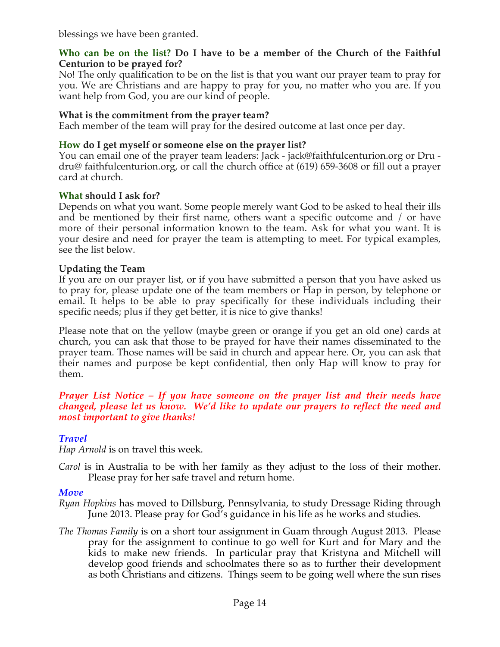blessings we have been granted.

### **Who can be on the list? Do I have to be a member of the Church of the Faithful Centurion to be prayed for?**

No! The only qualification to be on the list is that you want our prayer team to pray for you. We are Christians and are happy to pray for you, no matter who you are. If you want help from God, you are our kind of people.

### **What is the commitment from the prayer team?**

Each member of the team will pray for the desired outcome at last once per day.

### **How do I get myself or someone else on the prayer list?**

You can email one of the prayer team leaders: Jack - jack@faithfulcenturion.org or Dru dru@ faithfulcenturion.org, or call the church office at (619) 659-3608 or fill out a prayer card at church.

### **What should I ask for?**

Depends on what you want. Some people merely want God to be asked to heal their ills and be mentioned by their first name, others want a specific outcome and / or have more of their personal information known to the team. Ask for what you want. It is your desire and need for prayer the team is attempting to meet. For typical examples, see the list below.

### **Updating the Team**

If you are on our prayer list, or if you have submitted a person that you have asked us to pray for, please update one of the team members or Hap in person, by telephone or email. It helps to be able to pray specifically for these individuals including their specific needs; plus if they get better, it is nice to give thanks!

Please note that on the yellow (maybe green or orange if you get an old one) cards at church, you can ask that those to be prayed for have their names disseminated to the prayer team. Those names will be said in church and appear here. Or, you can ask that their names and purpose be kept confidential, then only Hap will know to pray for them.

### *Prayer List Notice – If you have someone on the prayer list and their needs have changed, please let us know. We'd like to update our prayers to reflect the need and most important to give thanks!*

## *Travel*

*Hap Arnold* is on travel this week.

*Carol* is in Australia to be with her family as they adjust to the loss of their mother. Please pray for her safe travel and return home.

## *Move*

- *Ryan Hopkins* has moved to Dillsburg, Pennsylvania, to study Dressage Riding through June 2013. Please pray for God's guidance in his life as he works and studies.
- *The Thomas Family* is on a short tour assignment in Guam through August 2013. Please pray for the assignment to continue to go well for Kurt and for Mary and the kids to make new friends. In particular pray that Kristyna and Mitchell will develop good friends and schoolmates there so as to further their development as both Christians and citizens. Things seem to be going well where the sun rises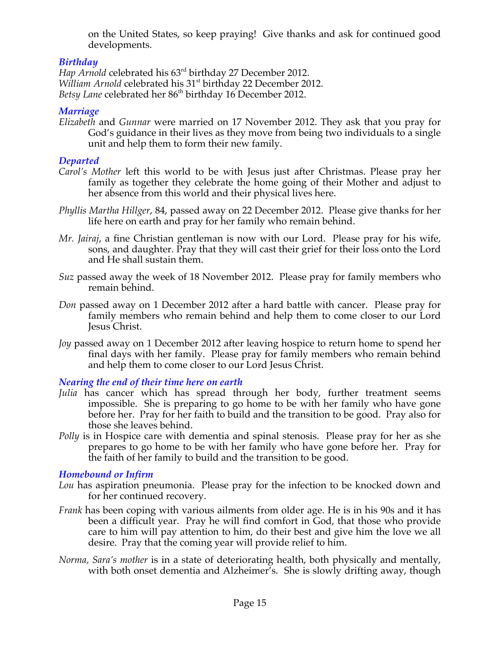on the United States, so keep praying! Give thanks and ask for continued good developments.

## *Birthday*

*Hap Arnold* celebrated his 63rd birthday 27 December 2012. *William Arnold* celebrated his 31<sup>st</sup> birthday 22 December 2012. Betsy Lane celebrated her 86<sup>th</sup> birthday 16 December 2012.

## *Marriage*

*Elizabeth* and *Gunnar* were married on 17 November 2012. They ask that you pray for God's guidance in their lives as they move from being two individuals to a single unit and help them to form their new family.

## *Departed*

- *Carol's Mother* left this world to be with Jesus just after Christmas. Please pray her family as together they celebrate the home going of their Mother and adjust to her absence from this world and their physical lives here.
- *Phyllis Martha Hillger*, 84, passed away on 22 December 2012. Please give thanks for her life here on earth and pray for her family who remain behind.
- *Mr. Jairaj*, a fine Christian gentleman is now with our Lord. Please pray for his wife, sons, and daughter. Pray that they will cast their grief for their loss onto the Lord and He shall sustain them.
- *Suz* passed away the week of 18 November 2012. Please pray for family members who remain behind.
- *Don* passed away on 1 December 2012 after a hard battle with cancer. Please pray for family members who remain behind and help them to come closer to our Lord Jesus Christ.
- *Joy* passed away on 1 December 2012 after leaving hospice to return home to spend her final days with her family. Please pray for family members who remain behind and help them to come closer to our Lord Jesus Christ.

## *Nearing the end of their time here on earth*

- *Julia* has cancer which has spread through her body, further treatment seems impossible. She is preparing to go home to be with her family who have gone before her. Pray for her faith to build and the transition to be good. Pray also for those she leaves behind.
- *Polly* is in Hospice care with dementia and spinal stenosis. Please pray for her as she prepares to go home to be with her family who have gone before her. Pray for the faith of her family to build and the transition to be good.

## *Homebound or Infirm*

- *Lou* has aspiration pneumonia. Please pray for the infection to be knocked down and for her continued recovery.
- *Frank* has been coping with various ailments from older age. He is in his 90s and it has been a difficult year. Pray he will find comfort in God, that those who provide care to him will pay attention to him, do their best and give him the love we all desire. Pray that the coming year will provide relief to him.
- *Norma, Sara's mother* is in a state of deteriorating health, both physically and mentally, with both onset dementia and Alzheimer's. She is slowly drifting away, though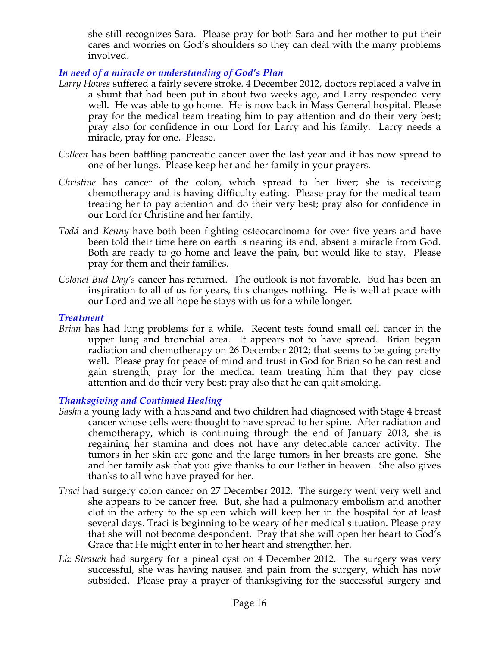she still recognizes Sara. Please pray for both Sara and her mother to put their cares and worries on God's shoulders so they can deal with the many problems involved.

## *In need of a miracle or understanding of God's Plan*

- *Larry Howes* suffered a fairly severe stroke. 4 December 2012, doctors replaced a valve in a shunt that had been put in about two weeks ago, and Larry responded very well. He was able to go home. He is now back in Mass General hospital. Please pray for the medical team treating him to pay attention and do their very best; pray also for confidence in our Lord for Larry and his family. Larry needs a miracle, pray for one. Please.
- *Colleen* has been battling pancreatic cancer over the last year and it has now spread to one of her lungs. Please keep her and her family in your prayers.
- *Christine* has cancer of the colon, which spread to her liver; she is receiving chemotherapy and is having difficulty eating. Please pray for the medical team treating her to pay attention and do their very best; pray also for confidence in our Lord for Christine and her family.
- *Todd* and *Kenny* have both been fighting osteocarcinoma for over five years and have been told their time here on earth is nearing its end, absent a miracle from God. Both are ready to go home and leave the pain, but would like to stay. Please pray for them and their families.
- *Colonel Bud Day's* cancer has returned. The outlook is not favorable. Bud has been an inspiration to all of us for years, this changes nothing. He is well at peace with our Lord and we all hope he stays with us for a while longer.

### *Treatment*

*Brian* has had lung problems for a while. Recent tests found small cell cancer in the upper lung and bronchial area. It appears not to have spread. Brian began radiation and chemotherapy on 26 December 2012; that seems to be going pretty well. Please pray for peace of mind and trust in God for Brian so he can rest and gain strength; pray for the medical team treating him that they pay close attention and do their very best; pray also that he can quit smoking.

## *Thanksgiving and Continued Healing*

- *Sasha* a young lady with a husband and two children had diagnosed with Stage 4 breast cancer whose cells were thought to have spread to her spine. After radiation and chemotherapy, which is continuing through the end of January 2013, she is regaining her stamina and does not have any detectable cancer activity. The tumors in her skin are gone and the large tumors in her breasts are gone. She and her family ask that you give thanks to our Father in heaven. She also gives thanks to all who have prayed for her.
- *Traci* had surgery colon cancer on 27 December 2012. The surgery went very well and she appears to be cancer free. But, she had a pulmonary embolism and another clot in the artery to the spleen which will keep her in the hospital for at least several days. Traci is beginning to be weary of her medical situation. Please pray that she will not become despondent. Pray that she will open her heart to God's Grace that He might enter in to her heart and strengthen her.
- *Liz Strauch* had surgery for a pineal cyst on 4 December 2012. The surgery was very successful, she was having nausea and pain from the surgery, which has now subsided. Please pray a prayer of thanksgiving for the successful surgery and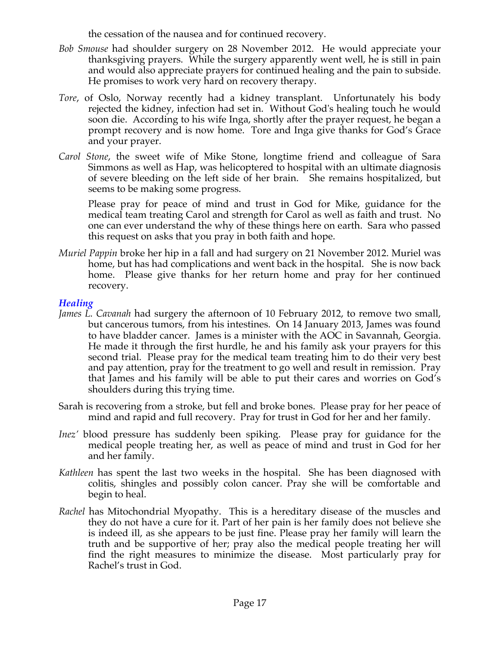the cessation of the nausea and for continued recovery.

- *Bob Smouse* had shoulder surgery on 28 November 2012. He would appreciate your thanksgiving prayers. While the surgery apparently went well, he is still in pain and would also appreciate prayers for continued healing and the pain to subside. He promises to work very hard on recovery therapy.
- *Tore*, of Oslo, Norway recently had a kidney transplant. Unfortunately his body rejected the kidney, infection had set in. Without God's healing touch he would soon die. According to his wife Inga, shortly after the prayer request, he began a prompt recovery and is now home. Tore and Inga give thanks for God's Grace and your prayer.
- *Carol Stone*, the sweet wife of Mike Stone, longtime friend and colleague of Sara Simmons as well as Hap, was helicoptered to hospital with an ultimate diagnosis of severe bleeding on the left side of her brain. She remains hospitalized, but seems to be making some progress.

Please pray for peace of mind and trust in God for Mike, guidance for the medical team treating Carol and strength for Carol as well as faith and trust. No one can ever understand the why of these things here on earth. Sara who passed this request on asks that you pray in both faith and hope.

*Muriel Pappin* broke her hip in a fall and had surgery on 21 November 2012. Muriel was home, but has had complications and went back in the hospital. She is now back home. Please give thanks for her return home and pray for her continued recovery.

## *Healing*

- *James L. Cavanah* had surgery the afternoon of 10 February 2012, to remove two small, but cancerous tumors, from his intestines. On 14 January 2013, James was found to have bladder cancer. James is a minister with the AOC in Savannah, Georgia. He made it through the first hurdle, he and his family ask your prayers for this second trial. Please pray for the medical team treating him to do their very best and pay attention, pray for the treatment to go well and result in remission. Pray that James and his family will be able to put their cares and worries on God's shoulders during this trying time.
- Sarah is recovering from a stroke, but fell and broke bones. Please pray for her peace of mind and rapid and full recovery. Pray for trust in God for her and her family.
- *Inez'* blood pressure has suddenly been spiking. Please pray for guidance for the medical people treating her, as well as peace of mind and trust in God for her and her family.
- *Kathleen* has spent the last two weeks in the hospital. She has been diagnosed with colitis, shingles and possibly colon cancer. Pray she will be comfortable and begin to heal.
- *Rachel* has Mitochondrial Myopathy. This is a hereditary disease of the muscles and they do not have a cure for it. Part of her pain is her family does not believe she is indeed ill, as she appears to be just fine. Please pray her family will learn the truth and be supportive of her; pray also the medical people treating her will find the right measures to minimize the disease. Most particularly pray for Rachel's trust in God.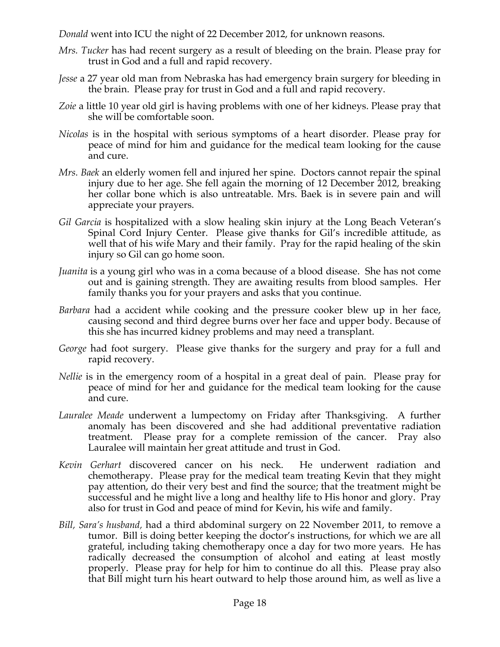*Donald* went into ICU the night of 22 December 2012, for unknown reasons.

- *Mrs. Tucker* has had recent surgery as a result of bleeding on the brain. Please pray for trust in God and a full and rapid recovery.
- *Jesse* a 27 year old man from Nebraska has had emergency brain surgery for bleeding in the brain. Please pray for trust in God and a full and rapid recovery.
- *Zoie* a little 10 year old girl is having problems with one of her kidneys. Please pray that she will be comfortable soon.
- *Nicolas* is in the hospital with serious symptoms of a heart disorder. Please pray for peace of mind for him and guidance for the medical team looking for the cause and cure.
- *Mrs. Baek* an elderly women fell and injured her spine. Doctors cannot repair the spinal injury due to her age. She fell again the morning of 12 December 2012, breaking her collar bone which is also untreatable. Mrs. Baek is in severe pain and will appreciate your prayers.
- *Gil Garcia* is hospitalized with a slow healing skin injury at the Long Beach Veteran's Spinal Cord Injury Center. Please give thanks for Gil's incredible attitude, as well that of his wife Mary and their family. Pray for the rapid healing of the skin injury so Gil can go home soon.
- *Juanita* is a young girl who was in a coma because of a blood disease. She has not come out and is gaining strength. They are awaiting results from blood samples. Her family thanks you for your prayers and asks that you continue.
- *Barbara* had a accident while cooking and the pressure cooker blew up in her face, causing second and third degree burns over her face and upper body. Because of this she has incurred kidney problems and may need a transplant.
- *George* had foot surgery. Please give thanks for the surgery and pray for a full and rapid recovery.
- *Nellie* is in the emergency room of a hospital in a great deal of pain. Please pray for peace of mind for her and guidance for the medical team looking for the cause and cure.
- *Lauralee Meade* underwent a lumpectomy on Friday after Thanksgiving. A further anomaly has been discovered and she had additional preventative radiation treatment. Please pray for a complete remission of the cancer. Pray also Lauralee will maintain her great attitude and trust in God.
- *Kevin Gerhart* discovered cancer on his neck. He underwent radiation and chemotherapy. Please pray for the medical team treating Kevin that they might pay attention, do their very best and find the source; that the treatment might be successful and he might live a long and healthy life to His honor and glory. Pray also for trust in God and peace of mind for Kevin, his wife and family.
- *Bill, Sara's husband,* had a third abdominal surgery on 22 November 2011, to remove a tumor. Bill is doing better keeping the doctor's instructions, for which we are all grateful, including taking chemotherapy once a day for two more years. He has radically decreased the consumption of alcohol and eating at least mostly properly. Please pray for help for him to continue do all this. Please pray also that Bill might turn his heart outward to help those around him, as well as live a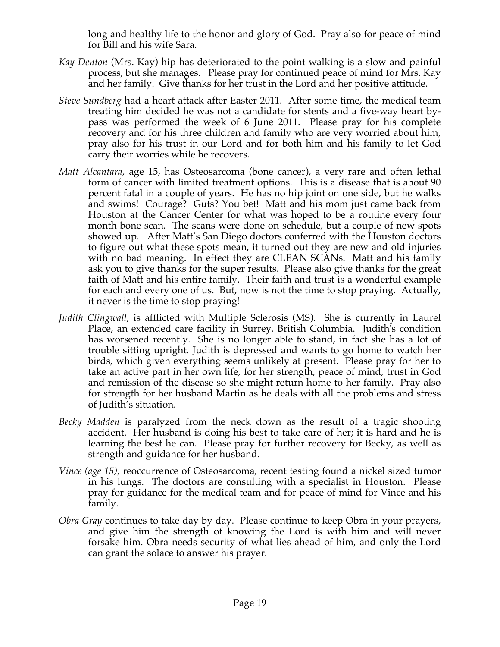long and healthy life to the honor and glory of God. Pray also for peace of mind for Bill and his wife Sara.

- *Kay Denton* (Mrs. Kay) hip has deteriorated to the point walking is a slow and painful process, but she manages. Please pray for continued peace of mind for Mrs. Kay and her family. Give thanks for her trust in the Lord and her positive attitude.
- *Steve Sundberg* had a heart attack after Easter 2011. After some time, the medical team treating him decided he was not a candidate for stents and a five-way heart bypass was performed the week of 6 June 2011. Please pray for his complete recovery and for his three children and family who are very worried about him, pray also for his trust in our Lord and for both him and his family to let God carry their worries while he recovers.
- *Matt Alcantara*, age 15, has Osteosarcoma (bone cancer), a very rare and often lethal form of cancer with limited treatment options. This is a disease that is about 90 percent fatal in a couple of years. He has no hip joint on one side, but he walks and swims! Courage? Guts? You bet! Matt and his mom just came back from Houston at the Cancer Center for what was hoped to be a routine every four month bone scan. The scans were done on schedule, but a couple of new spots showed up. After Matt's San Diego doctors conferred with the Houston doctors to figure out what these spots mean, it turned out they are new and old injuries with no bad meaning. In effect they are CLEAN SCANs. Matt and his family ask you to give thanks for the super results. Please also give thanks for the great faith of Matt and his entire family. Their faith and trust is a wonderful example for each and every one of us. But, now is not the time to stop praying. Actually, it never is the time to stop praying!
- *Judith Clingwall*, is afflicted with Multiple Sclerosis (MS). She is currently in Laurel Place, an extended care facility in Surrey, British Columbia. Judith's condition has worsened recently. She is no longer able to stand, in fact she has a lot of trouble sitting upright. Judith is depressed and wants to go home to watch her birds, which given everything seems unlikely at present. Please pray for her to take an active part in her own life, for her strength, peace of mind, trust in God and remission of the disease so she might return home to her family. Pray also for strength for her husband Martin as he deals with all the problems and stress of Judith's situation.
- *Becky Madden* is paralyzed from the neck down as the result of a tragic shooting accident. Her husband is doing his best to take care of her; it is hard and he is learning the best he can. Please pray for further recovery for Becky, as well as strength and guidance for her husband.
- *Vince (age 15),* reoccurrence of Osteosarcoma, recent testing found a nickel sized tumor in his lungs. The doctors are consulting with a specialist in Houston. Please pray for guidance for the medical team and for peace of mind for Vince and his family.
- *Obra Gray* continues to take day by day. Please continue to keep Obra in your prayers, and give him the strength of knowing the Lord is with him and will never forsake him. Obra needs security of what lies ahead of him, and only the Lord can grant the solace to answer his prayer.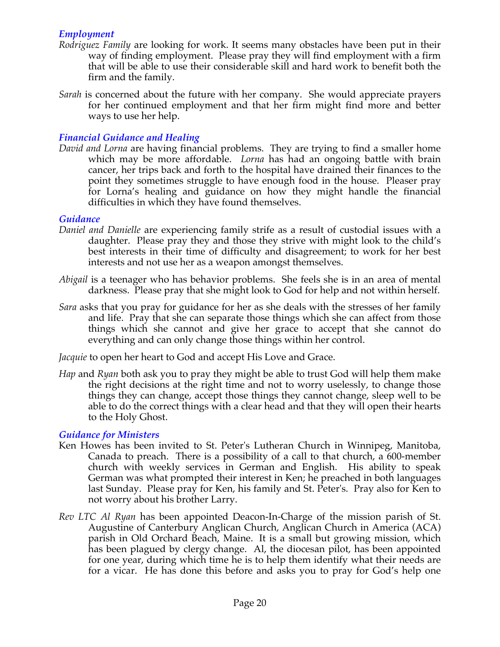### *Employment*

- *Rodriguez Family* are looking for work. It seems many obstacles have been put in their way of finding employment. Please pray they will find employment with a firm that will be able to use their considerable skill and hard work to benefit both the firm and the family.
- *Sarah* is concerned about the future with her company. She would appreciate prayers for her continued employment and that her firm might find more and better ways to use her help.

### *Financial Guidance and Healing*

*David and Lorna* are having financial problems. They are trying to find a smaller home which may be more affordable. *Lorna* has had an ongoing battle with brain cancer, her trips back and forth to the hospital have drained their finances to the point they sometimes struggle to have enough food in the house. Pleaser pray for Lorna's healing and guidance on how they might handle the financial difficulties in which they have found themselves.

#### *Guidance*

- *Daniel and Danielle* are experiencing family strife as a result of custodial issues with a daughter. Please pray they and those they strive with might look to the child's best interests in their time of difficulty and disagreement; to work for her best interests and not use her as a weapon amongst themselves.
- *Abigail* is a teenager who has behavior problems. She feels she is in an area of mental darkness. Please pray that she might look to God for help and not within herself.
- *Sara* asks that you pray for guidance for her as she deals with the stresses of her family and life. Pray that she can separate those things which she can affect from those things which she cannot and give her grace to accept that she cannot do everything and can only change those things within her control.
- *Jacquie* to open her heart to God and accept His Love and Grace.
- *Hap* and *Ryan* both ask you to pray they might be able to trust God will help them make the right decisions at the right time and not to worry uselessly, to change those things they can change, accept those things they cannot change, sleep well to be able to do the correct things with a clear head and that they will open their hearts to the Holy Ghost.

### *Guidance for Ministers*

- Ken Howes has been invited to St. Peter's Lutheran Church in Winnipeg, Manitoba, Canada to preach. There is a possibility of a call to that church, a 600-member church with weekly services in German and English. His ability to speak German was what prompted their interest in Ken; he preached in both languages last Sunday. Please pray for Ken, his family and St. Peter's. Pray also for Ken to not worry about his brother Larry.
- *Rev LTC Al Ryan* has been appointed Deacon-In-Charge of the mission parish of St. Augustine of Canterbury Anglican Church, Anglican Church in America (ACA) parish in Old Orchard Beach, Maine. It is a small but growing mission, which has been plagued by clergy change. Al, the diocesan pilot, has been appointed for one year, during which time he is to help them identify what their needs are for a vicar. He has done this before and asks you to pray for God's help one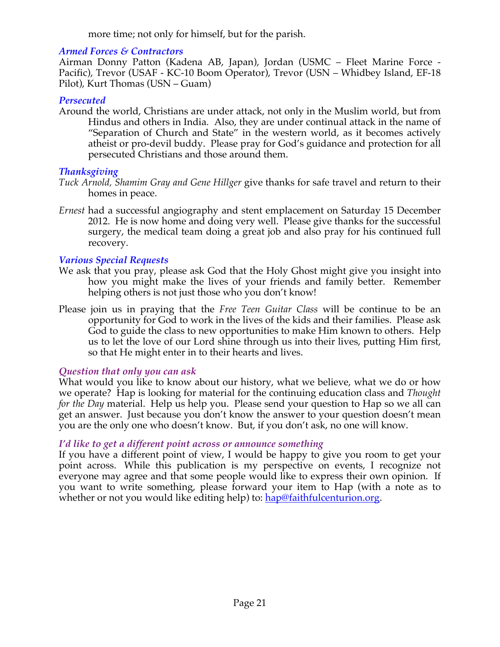more time; not only for himself, but for the parish.

### *Armed Forces & Contractors*

Airman Donny Patton (Kadena AB, Japan), Jordan (USMC – Fleet Marine Force - Pacific), Trevor (USAF - KC-10 Boom Operator), Trevor (USN – Whidbey Island, EF-18 Pilot), Kurt Thomas (USN – Guam)

### *Persecuted*

Around the world, Christians are under attack, not only in the Muslim world, but from Hindus and others in India. Also, they are under continual attack in the name of "Separation of Church and State" in the western world, as it becomes actively atheist or pro-devil buddy. Please pray for God's guidance and protection for all persecuted Christians and those around them.

## *Thanksgiving*

- *Tuck Arnold, Shamim Gray and Gene Hillger* give thanks for safe travel and return to their homes in peace.
- *Ernest* had a successful angiography and stent emplacement on Saturday 15 December 2012. He is now home and doing very well. Please give thanks for the successful surgery, the medical team doing a great job and also pray for his continued full recovery.

## *Various Special Requests*

- We ask that you pray, please ask God that the Holy Ghost might give you insight into how you might make the lives of your friends and family better. Remember helping others is not just those who you don't know!
- Please join us in praying that the *Free Teen Guitar Class* will be continue to be an opportunity for God to work in the lives of the kids and their families. Please ask God to guide the class to new opportunities to make Him known to others. Help us to let the love of our Lord shine through us into their lives, putting Him first, so that He might enter in to their hearts and lives.

## *Question that only you can ask*

What would you like to know about our history, what we believe, what we do or how we operate? Hap is looking for material for the continuing education class and *Thought for the Day* material. Help us help you. Please send your question to Hap so we all can get an answer. Just because you don't know the answer to your question doesn't mean you are the only one who doesn't know. But, if you don't ask, no one will know.

## *I'd like to get a different point across or announce something*

If you have a different point of view, I would be happy to give you room to get your point across. While this publication is my perspective on events, I recognize not everyone may agree and that some people would like to express their own opinion. If you want to write something, please forward your item to Hap (with a note as to whether or not you would like editing help) to: hap@faithfulcenturion.org.